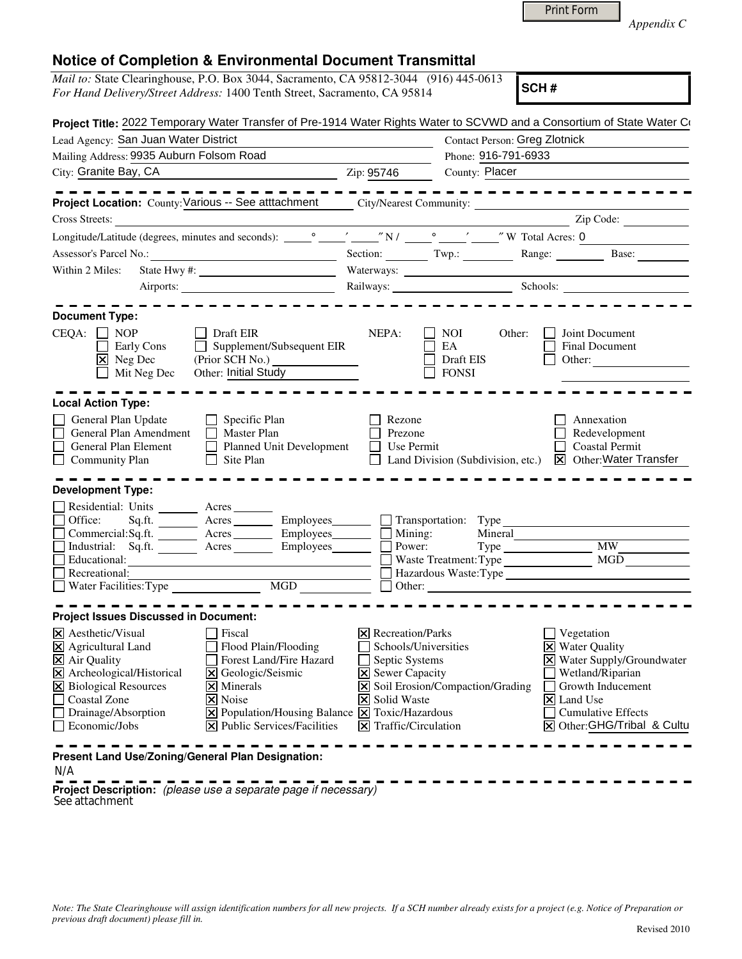*Appendix C* 

|  | <b>Notice of Completion &amp; Environmental Document Transmittal</b> |  |  |
|--|----------------------------------------------------------------------|--|--|
|--|----------------------------------------------------------------------|--|--|

|                                                                                                       | <i>Mail to:</i> State Clearinghouse, P.O. Box 3044, Sacramento, CA 95812-3044 (916) 445-0613                                                            |                                               |                                                  |                                                                                                                      |
|-------------------------------------------------------------------------------------------------------|---------------------------------------------------------------------------------------------------------------------------------------------------------|-----------------------------------------------|--------------------------------------------------|----------------------------------------------------------------------------------------------------------------------|
|                                                                                                       | For Hand Delivery/Street Address: 1400 Tenth Street, Sacramento, CA 95814                                                                               |                                               |                                                  | SCH#                                                                                                                 |
|                                                                                                       | Project Title: 2022 Temporary Water Transfer of Pre-1914 Water Rights Water to SCVWD and a Consortium of State Water Co                                 |                                               |                                                  |                                                                                                                      |
| Lead Agency: San Juan Water District                                                                  |                                                                                                                                                         |                                               | <b>Contact Person: Greg Zlotnick</b>             |                                                                                                                      |
| Mailing Address: 9935 Auburn Folsom Road                                                              |                                                                                                                                                         |                                               | Phone: 916-791-6933                              |                                                                                                                      |
| City: Granite Bay, CA                                                                                 | $\frac{1}{2}$ Zip: 95746                                                                                                                                |                                               | County: Placer                                   |                                                                                                                      |
|                                                                                                       | Project Location: County: Various -- See atttachment _____ City/Nearest Community: ______________                                                       |                                               |                                                  |                                                                                                                      |
| Cross Streets:                                                                                        |                                                                                                                                                         |                                               |                                                  | Zip Code:                                                                                                            |
|                                                                                                       |                                                                                                                                                         |                                               |                                                  |                                                                                                                      |
| Assessor's Parcel No.:                                                                                |                                                                                                                                                         |                                               |                                                  |                                                                                                                      |
|                                                                                                       | Section: Twp.: Range: Base: Base:                                                                                                                       |                                               |                                                  |                                                                                                                      |
| Within 2 Miles:                                                                                       |                                                                                                                                                         |                                               |                                                  |                                                                                                                      |
|                                                                                                       |                                                                                                                                                         |                                               |                                                  |                                                                                                                      |
|                                                                                                       |                                                                                                                                                         |                                               |                                                  |                                                                                                                      |
| <b>Document Type:</b><br>$CEQA: \Box NP$<br>Early Cons<br>$\boxed{\mathsf{X}}$ Neg Dec<br>Mit Neg Dec | $\Box$ Draft EIR<br>$\Box$ Supplement/Subsequent EIR<br>(Prior SCH No.)<br>Other: <u>Initial Study</u>                                                  | NEPA:                                         | NOI<br>Other:<br>EA<br>Draft EIS<br><b>FONSI</b> | Joint Document<br>Final Document<br>Other:                                                                           |
| <b>Local Action Type:</b><br>General Plan Update                                                      | $\Box$ Specific Plan                                                                                                                                    | Rezone                                        |                                                  | Annexation                                                                                                           |
| General Plan Amendment Master Plan<br>General Plan Element<br>Community Plan                          | Planned Unit Development<br>$\Box$ Site Plan                                                                                                            | Prezone<br>$\Box$ Use Permit                  | $\Box$ Land Division (Subdivision, etc.)         | Redevelopment<br><b>Coastal Permit</b><br><b>X</b> Other: Water Transfer                                             |
| <b>Development Type:</b>                                                                              |                                                                                                                                                         |                                               |                                                  |                                                                                                                      |
| Residential: Units ________ Acres ______<br>Office:                                                   | Sq.ft. ________ Acres __________ Employees ________ __ Transportation: Type<br>Commercial:Sq.ft. ________ Acres _________ Employees ________ __ Mining: |                                               |                                                  |                                                                                                                      |
|                                                                                                       | Industrial: Sq.ft. <u>Acres</u> Acres Employees 1                                                                                                       | Power:                                        |                                                  | Type MW MW                                                                                                           |
| Educational:<br>Recreational:                                                                         |                                                                                                                                                         |                                               | Waste Treatment: Type                            | Hazardous Waste:Type                                                                                                 |
| Water Facilities: Type                                                                                |                                                                                                                                                         | $\Box$ Other:                                 |                                                  | <u> 1980 - Jan Samuel Barbara, politik eta politik eta politik eta politik eta politik eta politik eta politik e</u> |
|                                                                                                       |                                                                                                                                                         |                                               |                                                  |                                                                                                                      |
| <b>Project Issues Discussed in Document:</b>                                                          |                                                                                                                                                         |                                               |                                                  |                                                                                                                      |
| X Aesthetic/Visual                                                                                    | Fiscal                                                                                                                                                  | <b>X</b> Recreation/Parks                     |                                                  | Vegetation                                                                                                           |
| X Agricultural Land                                                                                   | Flood Plain/Flooding                                                                                                                                    | Schools/Universities                          |                                                  | <b>Water Quality</b><br>$\overline{\mathsf{x}}$                                                                      |
| X Air Quality                                                                                         | Forest Land/Fire Hazard                                                                                                                                 | Septic Systems                                |                                                  | X Water Supply/Groundwater                                                                                           |
| X Archeological/Historical                                                                            | Geologic/Seismic<br>ΙX                                                                                                                                  | X Sewer Capacity                              |                                                  | Wetland/Riparian                                                                                                     |
| X Biological Resources                                                                                | Minerals                                                                                                                                                |                                               | X Soil Erosion/Compaction/Grading                | Growth Inducement                                                                                                    |
| <b>Coastal Zone</b>                                                                                   | Noise<br>×                                                                                                                                              | X Solid Waste                                 |                                                  | $\times$ Land Use                                                                                                    |
| Drainage/Absorption<br>Economic/Jobs                                                                  | Population/Housing Balance $\boxed{\mathsf{x}}$<br><b>Public Services/Facilities</b>                                                                    | Toxic/Hazardous<br>Traffic/Circulation<br>Ι×Ι |                                                  | <b>Cumulative Effects</b><br>Other: GHG/Tribal & Cultu<br>Ι×Ι                                                        |
|                                                                                                       |                                                                                                                                                         |                                               |                                                  |                                                                                                                      |
| Present Land Use/Zoning/General Plan Designation:                                                     |                                                                                                                                                         |                                               |                                                  |                                                                                                                      |

N/A

**Project Description:** (please use a separate page if necessary) See attachment